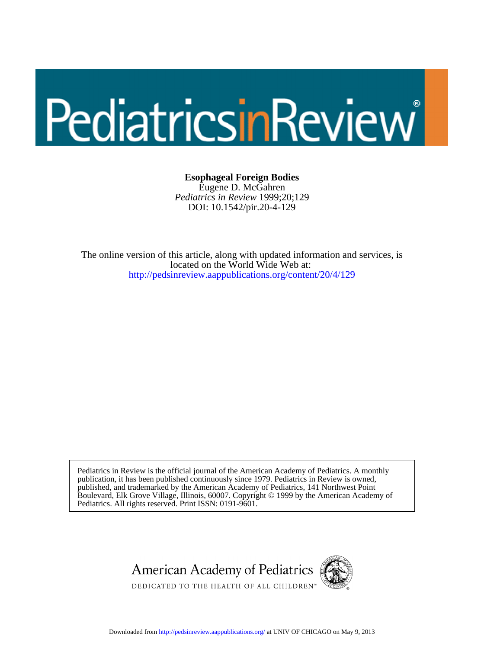# PediatricsinReview®

DOI: 10.1542/pir.20-4-129 *Pediatrics in Review* 1999;20;129 Eugene D. McGahren **Esophageal Foreign Bodies**

<http://pedsinreview.aappublications.org/content/20/4/129> located on the World Wide Web at: The online version of this article, along with updated information and services, is

Pediatrics. All rights reserved. Print ISSN: 0191-9601. Boulevard, Elk Grove Village, Illinois, 60007. Copyright © 1999 by the American Academy of published, and trademarked by the American Academy of Pediatrics, 141 Northwest Point publication, it has been published continuously since 1979. Pediatrics in Review is owned, Pediatrics in Review is the official journal of the American Academy of Pediatrics. A monthly



Downloaded from<http://pedsinreview.aappublications.org/>at UNIV OF CHICAGO on May 9, 2013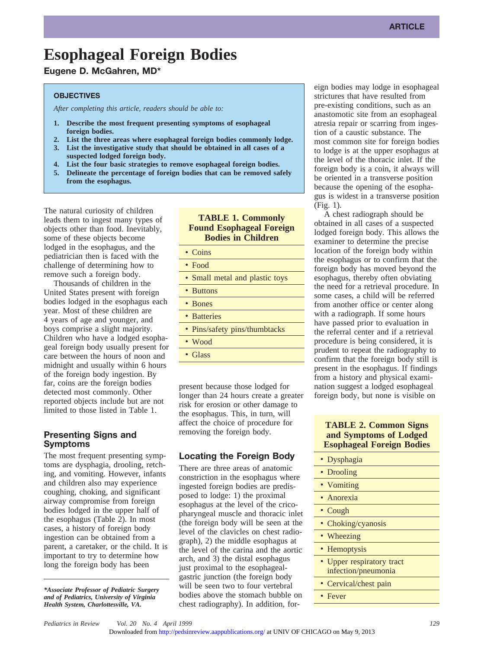# **Esophageal Foreign Bodies**

# **Eugene D. McGahren, MD\***

#### **OBJECTIVES**

*After completing this article, readers should be able to:*

- **1. Describe the most frequent presenting symptoms of esophageal foreign bodies.**
- **2. List the three areas where esophageal foreign bodies commonly lodge.**
- **3. List the investigative study that should be obtained in all cases of a suspected lodged foreign body.**
- **4. List the four basic strategies to remove esophageal foreign bodies.**
- **5. Delineate the percentage of foreign bodies that can be removed safely from the esophagus.**

The natural curiosity of children leads them to ingest many types of objects other than food. Inevitably, some of these objects become lodged in the esophagus, and the pediatrician then is faced with the challenge of determining how to remove such a foreign body.

Thousands of children in the United States present with foreign bodies lodged in the esophagus each year. Most of these children are 4 years of age and younger, and boys comprise a slight majority. Children who have a lodged esophageal foreign body usually present for care between the hours of noon and midnight and usually within 6 hours of the foreign body ingestion. By far, coins are the foreign bodies detected most commonly. Other reported objects include but are not limited to those listed in Table 1.

# **Presenting Signs and Symptoms**

The most frequent presenting symptoms are dysphagia, drooling, retching, and vomiting. However, infants and children also may experience coughing, choking, and significant airway compromise from foreign bodies lodged in the upper half of the esophagus (Table 2). In most cases, a history of foreign body ingestion can be obtained from a parent, a caretaker, or the child. It is important to try to determine how long the foreign body has been

*\*Associate Professor of Pediatric Surgery and of Pediatrics, University of Virginia Health System, Charlottesville, VA.*

# **TABLE 1. Commonly Found Esophageal Foreign Bodies in Children**

- Coins
- Food
- Small metal and plastic toys

• Buttons

- Bones
- Batteries
- Pins/safety pins/thumbtacks
- Wood
- Glass

present because those lodged for longer than 24 hours create a greater risk for erosion or other damage to the esophagus. This, in turn, will affect the choice of procedure for removing the foreign body.

# **Locating the Foreign Body**

There are three areas of anatomic constriction in the esophagus where ingested foreign bodies are predisposed to lodge: 1) the proximal esophagus at the level of the cricopharyngeal muscle and thoracic inlet (the foreign body will be seen at the level of the clavicles on chest radiograph), 2) the middle esophagus at the level of the carina and the aortic arch, and 3) the distal esophagus just proximal to the esophagealgastric junction (the foreign body will be seen two to four vertebral bodies above the stomach bubble on chest radiography). In addition, foreign bodies may lodge in esophageal strictures that have resulted from pre-existing conditions, such as an anastomotic site from an esophageal atresia repair or scarring from ingestion of a caustic substance. The most common site for foreign bodies to lodge is at the upper esophagus at the level of the thoracic inlet. If the foreign body is a coin, it always will be oriented in a transverse position because the opening of the esophagus is widest in a transverse position (Fig. 1).

A chest radiograph should be obtained in all cases of a suspected lodged foreign body. This allows the examiner to determine the precise location of the foreign body within the esophagus or to confirm that the foreign body has moved beyond the esophagus, thereby often obviating the need for a retrieval procedure. In some cases, a child will be referred from another office or center along with a radiograph. If some hours have passed prior to evaluation in the referral center and if a retrieval procedure is being considered, it is prudent to repeat the radiography to confirm that the foreign body still is present in the esophagus. If findings from a history and physical examination suggest a lodged esophageal foreign body, but none is visible on

# **TABLE 2. Common Signs and Symptoms of Lodged Esophageal Foreign Bodies**

| • Dysphagia                                      |
|--------------------------------------------------|
| • Drooling                                       |
| • Vomiting                                       |
| • Anorexia                                       |
| • $Cough$                                        |
| • Choking/cyanosis                               |
| • Wheezing                                       |
| • Hemoptysis                                     |
| • Upper respiratory tract<br>infection/pneumonia |
| • Cervical/chest pain                            |
| • Fever                                          |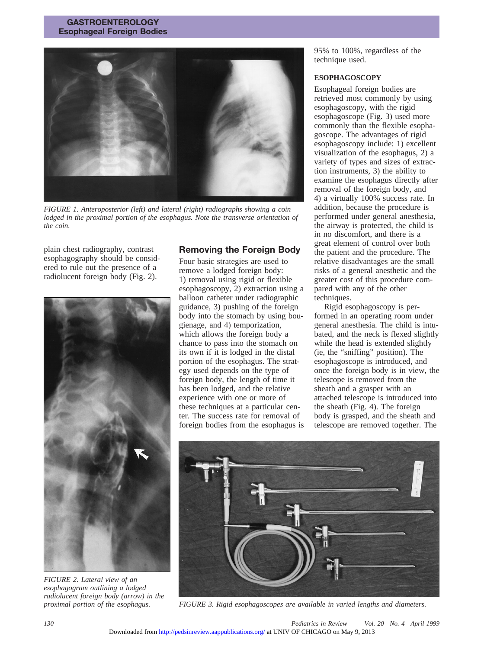#### **GASTROENTEROLOGY Esophageal Foreign Bodies**



*FIGURE 1. Anteroposterior (left) and lateral (right) radiographs showing a coin lodged in the proximal portion of the esophagus. Note the transverse orientation of the coin.*

plain chest radiography, contrast esophagography should be considered to rule out the presence of a radiolucent foreign body (Fig. 2).



*FIGURE 2. Lateral view of an esophagogram outlining a lodged radiolucent foreign body (arrow) in the*

# **Removing the Foreign Body**

Four basic strategies are used to remove a lodged foreign body: 1) removal using rigid or flexible esophagoscopy, 2) extraction using a balloon catheter under radiographic guidance, 3) pushing of the foreign body into the stomach by using bougienage, and 4) temporization, which allows the foreign body a chance to pass into the stomach on its own if it is lodged in the distal portion of the esophagus. The strategy used depends on the type of foreign body, the length of time it has been lodged, and the relative experience with one or more of these techniques at a particular center. The success rate for removal of foreign bodies from the esophagus is 95% to 100%, regardless of the technique used.

#### **ESOPHAGOSCOPY**

Esophageal foreign bodies are retrieved most commonly by using esophagoscopy, with the rigid esophagoscope (Fig. 3) used more commonly than the flexible esophagoscope. The advantages of rigid esophagoscopy include: 1) excellent visualization of the esophagus, 2) a variety of types and sizes of extraction instruments, 3) the ability to examine the esophagus directly after removal of the foreign body, and 4) a virtually 100% success rate. In addition, because the procedure is performed under general anesthesia, the airway is protected, the child is in no discomfort, and there is a great element of control over both the patient and the procedure. The relative disadvantages are the small risks of a general anesthetic and the greater cost of this procedure compared with any of the other techniques.

Rigid esophagoscopy is performed in an operating room under general anesthesia. The child is intubated, and the neck is flexed slightly while the head is extended slightly (ie, the "sniffing" position). The esophagoscope is introduced, and once the foreign body is in view, the telescope is removed from the sheath and a grasper with an attached telescope is introduced into the sheath (Fig. 4). The foreign body is grasped, and the sheath and telescope are removed together. The



*proximal portion of the esophagus. FIGURE 3. Rigid esophagoscopes are available in varied lengths and diameters.*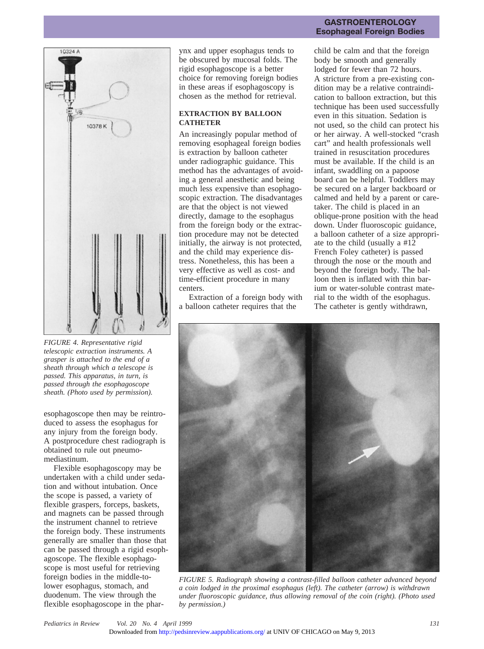

*FIGURE 4. Representative rigid telescopic extraction instruments. A grasper is attached to the end of a sheath through which a telescope is passed. This apparatus, in turn, is passed through the esophagoscope sheath. (Photo used by permission).*

esophagoscope then may be reintroduced to assess the esophagus for any injury from the foreign body. A postprocedure chest radiograph is obtained to rule out pneumomediastinum.

Flexible esophagoscopy may be undertaken with a child under sedation and without intubation. Once the scope is passed, a variety of flexible graspers, forceps, baskets, and magnets can be passed through the instrument channel to retrieve the foreign body. These instruments generally are smaller than those that can be passed through a rigid esophagoscope. The flexible esophagoscope is most useful for retrieving foreign bodies in the middle-tolower esophagus, stomach, and duodenum. The view through the flexible esophagoscope in the pharynx and upper esophagus tends to be obscured by mucosal folds. The rigid esophagoscope is a better choice for removing foreign bodies in these areas if esophagoscopy is chosen as the method for retrieval.

### **EXTRACTION BY BALLOON CATHETER**

An increasingly popular method of removing esophageal foreign bodies is extraction by balloon catheter under radiographic guidance. This method has the advantages of avoiding a general anesthetic and being much less expensive than esophagoscopic extraction. The disadvantages are that the object is not viewed directly, damage to the esophagus from the foreign body or the extraction procedure may not be detected initially, the airway is not protected, and the child may experience distress. Nonetheless, this has been a very effective as well as cost- and time-efficient procedure in many centers.

Extraction of a foreign body with a balloon catheter requires that the

#### **GASTROENTEROLOGY Esophageal Foreign Bodies**

child be calm and that the foreign body be smooth and generally lodged for fewer than 72 hours. A stricture from a pre-existing condition may be a relative contraindication to balloon extraction, but this technique has been used successfully even in this situation. Sedation is not used, so the child can protect his or her airway. A well-stocked "crash cart" and health professionals well trained in resuscitation procedures must be available. If the child is an infant, swaddling on a papoose board can be helpful. Toddlers may be secured on a larger backboard or calmed and held by a parent or caretaker. The child is placed in an oblique-prone position with the head down. Under fluoroscopic guidance, a balloon catheter of a size appropriate to the child (usually a #12 French Foley catheter) is passed through the nose or the mouth and beyond the foreign body. The balloon then is inflated with thin barium or water-soluble contrast material to the width of the esophagus. The catheter is gently withdrawn,

![](_page_3_Picture_10.jpeg)

*FIGURE 5. Radiograph showing a contrast-filled balloon catheter advanced beyond a coin lodged in the proximal esophagus (left). The catheter (arrow) is withdrawn under fluoroscopic guidance, thus allowing removal of the coin (right). (Photo used by permission.)*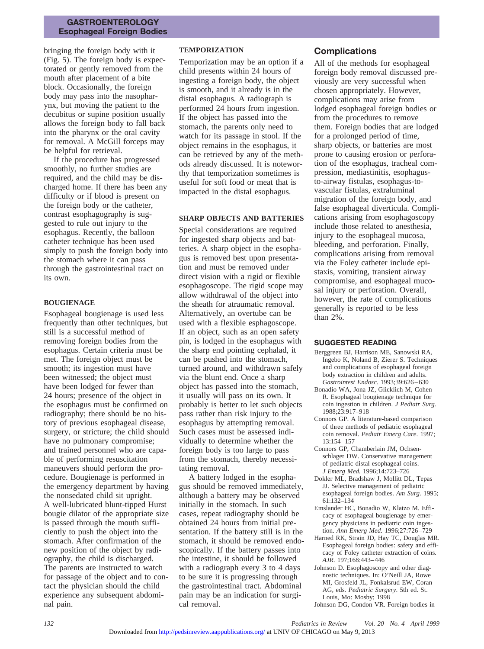#### **GASTROENTEROLOGY Esophageal Foreign Bodies**

bringing the foreign body with it (Fig. 5). The foreign body is expectorated or gently removed from the mouth after placement of a bite block. Occasionally, the foreign body may pass into the nasopharynx, but moving the patient to the decubitus or supine position usually allows the foreign body to fall back into the pharynx or the oral cavity for removal. A McGill forceps may be helpful for retrieval.

If the procedure has progressed smoothly, no further studies are required, and the child may be discharged home. If there has been any difficulty or if blood is present on the foreign body or the catheter, contrast esophagography is suggested to rule out injury to the esophagus. Recently, the balloon catheter technique has been used simply to push the foreign body into the stomach where it can pass through the gastrointestinal tract on its own.

#### **BOUGIENAGE**

Esophageal bougienage is used less frequently than other techniques, but still is a successful method of removing foreign bodies from the esophagus. Certain criteria must be met. The foreign object must be smooth; its ingestion must have been witnessed; the object must have been lodged for fewer than 24 hours; presence of the object in the esophagus must be confirmed on radiography; there should be no history of previous esophageal disease, surgery, or stricture; the child should have no pulmonary compromise; and trained personnel who are capable of performing resuscitation maneuvers should perform the procedure. Bougienage is performed in the emergency department by having the nonsedated child sit upright. A well-lubricated blunt-tipped Hurst bougie dilator of the appropriate size is passed through the mouth sufficiently to push the object into the stomach. After confirmation of the new position of the object by radiography, the child is discharged. The parents are instructed to watch for passage of the object and to contact the physician should the child experience any subsequent abdominal pain.

#### **TEMPORIZATION**

Temporization may be an option if a child presents within 24 hours of ingesting a foreign body, the object is smooth, and it already is in the distal esophagus. A radiograph is performed 24 hours from ingestion. If the object has passed into the stomach, the parents only need to watch for its passage in stool. If the object remains in the esophagus, it can be retrieved by any of the methods already discussed. It is noteworthy that temporization sometimes is useful for soft food or meat that is impacted in the distal esophagus.

#### **SHARP OBJECTS AND BATTERIES**

Special considerations are required for ingested sharp objects and batteries. A sharp object in the esophagus is removed best upon presentation and must be removed under direct vision with a rigid or flexible esophagoscope. The rigid scope may allow withdrawal of the object into the sheath for atraumatic removal. Alternatively, an overtube can be used with a flexible esphagoscope. If an object, such as an open safety pin, is lodged in the esophagus with the sharp end pointing cephalad, it can be pushed into the stomach, turned around, and withdrawn safely via the blunt end. Once a sharp object has passed into the stomach, it usually will pass on its own. It probably is better to let such objects pass rather than risk injury to the esophagus by attempting removal. Such cases must be assessed individually to determine whether the foreign body is too large to pass from the stomach, thereby necessitating removal.

A battery lodged in the esophagus should be removed immediately, although a battery may be observed initially in the stomach. In such cases, repeat radiography should be obtained 24 hours from initial presentation. If the battery still is in the stomach, it should be removed endoscopically. If the battery passes into the intestine, it should be followed with a radiograph every 3 to 4 days to be sure it is progressing through the gastrointestinal tract. Abdominal pain may be an indication for surgical removal.

# **Complications**

All of the methods for esophageal foreign body removal discussed previously are very successful when chosen appropriately. However, complications may arise from lodged esophageal foreign bodies or from the procedures to remove them. Foreign bodies that are lodged for a prolonged period of time, sharp objects, or batteries are most prone to causing erosion or perforation of the esophagus, tracheal compression, mediastinitis, esophagusto-airway fistulas, esophagus-tovascular fistulas, extraluminal migration of the foreign body, and false esophageal diverticula. Complications arising from esophagoscopy include those related to anesthesia, injury to the esophageal mucosa, bleeding, and perforation. Finally, complications arising from removal via the Foley catheter include epistaxis, vomiting, transient airway compromise, and esophageal mucosal injury or perforation. Overall, however, the rate of complications generally is reported to be less than 2%.

#### **SUGGESTED READING**

- Berggreen BJ, Harrison ME, Sanowski RA, Ingebo K, Noland B, Zierer S. Techniques and complications of esophageal foreign body extraction in children and adults. *Gastrointest Endosc.* 1993;39:626–630
- Bonadio WA, Jona JZ, Glicklich M, Cohen R. Esophageal bougienage technique for coin ingestion in children. *J Pediatr Surg.* 1988;23:917–918
- Connors GP. A literature-based comparison of three methods of pediatric esophageal coin removal. *Pediatr Emerg Care*. 1997; 13:154–157
- Connors GP, Chamberlain JM, Ochsenschlager DW. Conservative management of pediatric distal esophageal coins. *J Emerg Med.* 1996;14:723–726
- Dokler ML, Bradshaw J, Mollitt DL, Tepas JJ. Selective management of pediatric esophageal foreign bodies. *Am Surg.* 1995; 61:132–134
- Emslander HC, Bonadio W, Klatzo M. Efficacy of esophageal bougienage by emergency physicians in pediatric coin ingestion. *Ann Emerg Med.* 1996;27:726–729
- Harned RK, Strain JD, Hay TC, Douglas MR. Esophageal foreign bodies: safety and efficacy of Foley catheter extraction of coins. *AJR*. 197;168:443–446
- Johnson D. Esophagoscopy and other diagnostic techniques. In: O'Neill JA, Rowe MI, Grosfeld JL, Fonkalsrud EW, Coran AG, eds. *Pediatric Surgery*. 5th ed. St. Louis, Mo: Mosby; 1998
- Johnson DG, Condon VR. Foreign bodies in